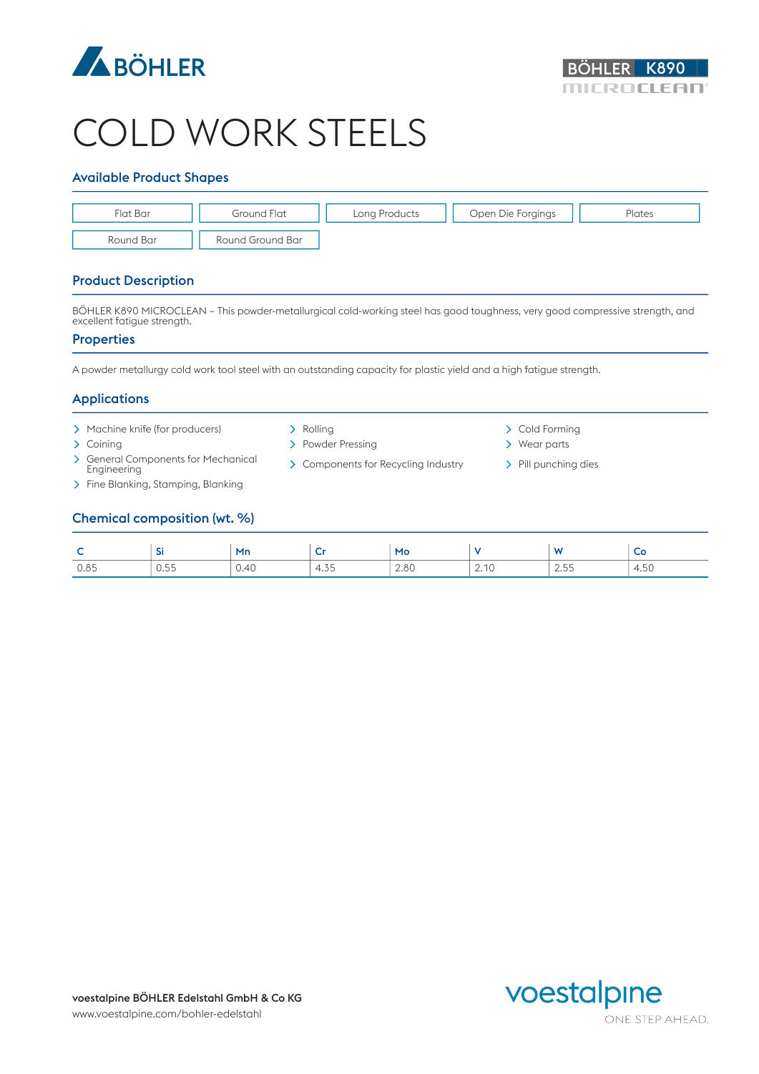



# COLD WORK STEELS

## Available Product Shapes

| Flat Bar  | Ground Flat      | Long Products | Open Die Forgings | Plates |
|-----------|------------------|---------------|-------------------|--------|
| Round Bar | Round Ground Bar |               |                   |        |

# Product Description

BÖHLER K890 MICROCLEAN – This powder-metallurgical cold-working steel has good toughness, very good compressive strength, and excellent fatigue strength.

#### **Properties**

A powder metallurgy cold work tool steel with an outstanding capacity for plastic yield and a high fatigue strength.

# Applications

- > Machine knife (for producers) > > Rolling > Cold Forming > Cold Forming > Cold Forming > Cold Forming > Cold Forming > Cold Forming > Cold Forming > Cold Forming > Cold Forming > Cold Forming > Cold Forming > Cold Formin
- 
- > General Components for Mechanical<br>Enaineerina
- > Fine Blanking, Stamping, Blanking
- 
- > Coining > Powder Pressing > Powder Pressing > Wear parts
	- > Components for Recycling Industry > Pill punching dies
- 
- 

# Chemical composition (wt. %)

| -    |                                      | Mn   |                                     | Mo   |      | <b>A</b><br>.                          | $\tilde{\phantom{a}}$ |
|------|--------------------------------------|------|-------------------------------------|------|------|----------------------------------------|-----------------------|
| 0.85 | $\sim$ $ -$<br>$\cup\ldots\cup$<br>. | 0.40 | $\rightarrow$ $\rightarrow$<br>4.ບບ | 2.80 | 2.10 | $\sim$<br>ں بے<br>$\sim$ $\sim$ $\sim$ | 50<br>∸<br>—.ບ∪       |

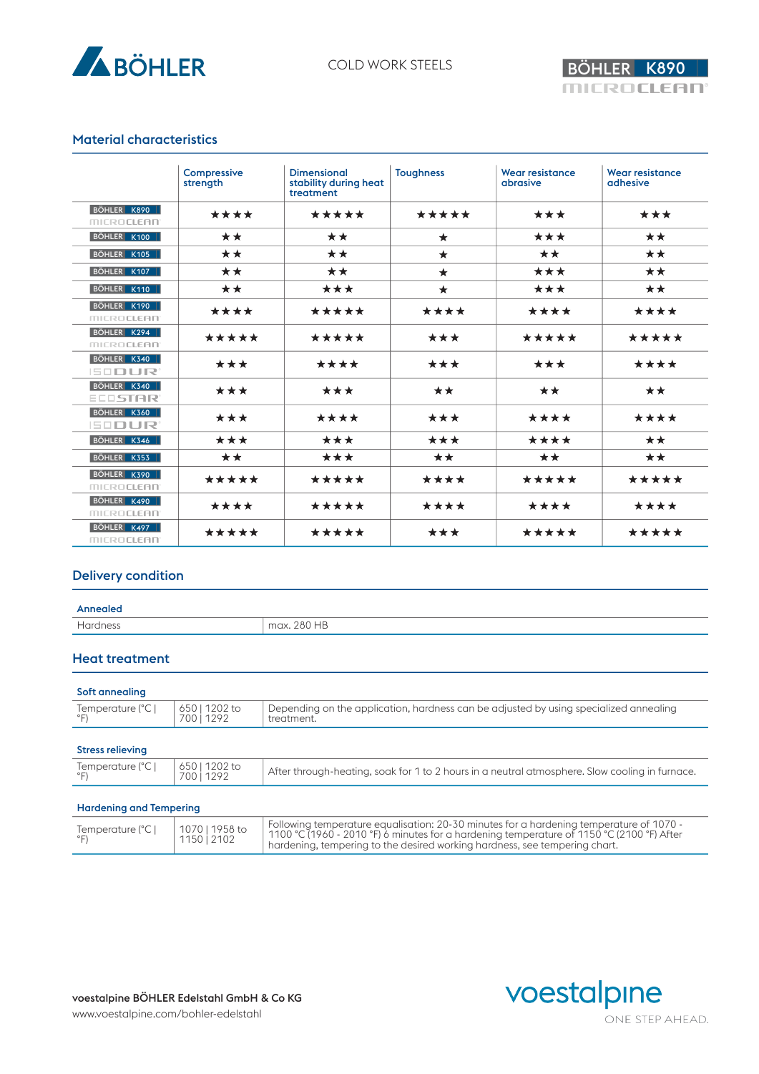



## Material characteristics

|                                  | Compressive<br>strength | <b>Dimensional</b><br>stability during heat<br>treatment | <b>Toughness</b> | <b>Wear resistance</b><br>abrasive | <b>Wear resistance</b><br>adhesive |
|----------------------------------|-------------------------|----------------------------------------------------------|------------------|------------------------------------|------------------------------------|
| BÖHLER K890<br><b>MICROCLEAN</b> | ****                    | *****                                                    | *****            | ***                                | ***                                |
| BÖHLER K100                      | **                      | **                                                       | $\star$          | ***                                | **                                 |
| BÖHLER K105                      | **                      | $\star\star$                                             | $\star$          | **                                 | $\star\star$                       |
| BÖHLER K107                      | **                      | **                                                       | $\star$          | ***                                | **                                 |
| BÖHLER K110                      | **                      | ***                                                      | $\star$          | ***                                | **                                 |
| BÖHLER K190<br><b>MICROCLEAN</b> | ****                    | *****                                                    | ****             | ****                               | ****                               |
| BÖHLER K294<br><b>MICROCLEAN</b> | *****                   | *****                                                    | ***              | *****                              | *****                              |
| BÖHLER K340<br><b>ISODUR</b>     | ***                     | ****                                                     | ***              | ***                                | ****                               |
| BÖHLER K340<br><b>ELDSTAR</b>    | ***                     | ***                                                      | **               | **                                 | **                                 |
| BÖHLER K360<br><b>ISODUR</b>     | ***                     | ****                                                     | ***              | ****                               | ****                               |
| BÖHLER K346                      | ***                     | ***                                                      | ***              | ****                               | $\star\star$                       |
| BÖHLER K353                      | **                      | ***                                                      | **               | **                                 | **                                 |
| BÖHLER K390<br><b>MICROCLEAN</b> | *****                   | *****                                                    | ****             | *****                              | *****                              |
| BÖHLER K490<br><b>MICROCLEAN</b> | ****                    | *****                                                    | ****             | ****                               | ****                               |
| BÖHLER K497<br><b>MICROCLEAN</b> | *****                   | *****                                                    | ***              | *****                              | *****                              |

## Delivery condition

#### Annealed

| . | 0.00115<br>$\sim$<br>1 L |
|---|--------------------------|
|   |                          |

## Heat treatment

| Soft annealing                      |                           |                                                                                                     |
|-------------------------------------|---------------------------|-----------------------------------------------------------------------------------------------------|
| Temperature (°C  <br>$\circ$ $\Box$ | 650   1202 to<br>70011292 | Depending on the application, hardness can be adjusted by using specialized annealing<br>treatment. |
| <b>Stress relieving</b>             |                           |                                                                                                     |
| Temperature (°C                     | 650   1202 to<br>70011292 | After through-heating, soak for 1 to 2 hours in a neutral atmosphere. Slow cooling in furnace.      |

#### Hardening and Tempering

|--|



ONE STEP AHEAD.